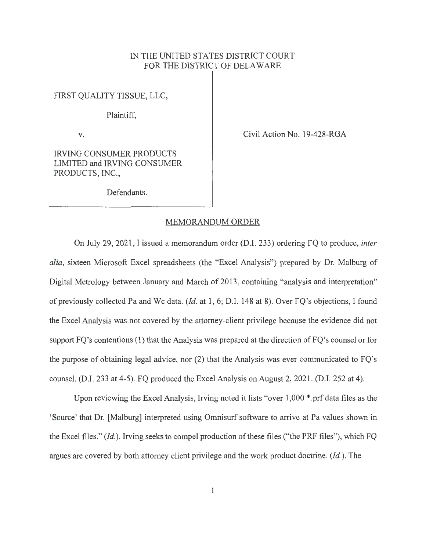## IN THE UNITED STATES DISTRICT COURT FOR THE DISTRICT OF DELAWARE

FIRST QUALITY TISSUE, LLC,

Plaintiff,

V.

Civil Action No. 19-428-RGA

IRVING CONSUMER PRODUCTS LIMITED and IRVING CONSUMER PRODUCTS, INC.,

Defendants.

## MEMORANDUM ORDER

On July 29, 2021 , I issued a memorandum order (D.I. 233) ordering FQ to produce, *inter alia,* sixteen Microsoft Excel spreadsheets (the "Excel Analysis") prepared by Dr. Malburg of Digital Metrology between January and March of 2013, containing "analysis and interpretation" of previously collected Pa and We data. *(Id.* at 1, 6; D.I. 148 at 8). Over FQ's objections, I found the Excel Analysis was not covered by the attorney-client privilege because the evidence did not support  $FO$ 's contentions  $(1)$  that the Analysis was prepared at the direction of  $FO$ 's counsel or for the purpose of obtaining legal advice, nor (2) that the Analysis was ever communicated to FQ's counsel. (D.I. 233 at 4-5). FQ produced the Excel Analysis on August 2, 2021. (D.I. 252 at 4).

Upon reviewing the Excel Analysis, Irving noted it lists "over 1,000 \* .prf data files as the 'Source' that Dr. [Malburg] interpreted using Omnisurf software to arrive at Pa values shown in the Excel files." *(Id.).* Irving seeks to compel production of these files ("the PRF files"), which FQ argues are covered by both attorney client privilege and the work product doctrine. *(Id.).* The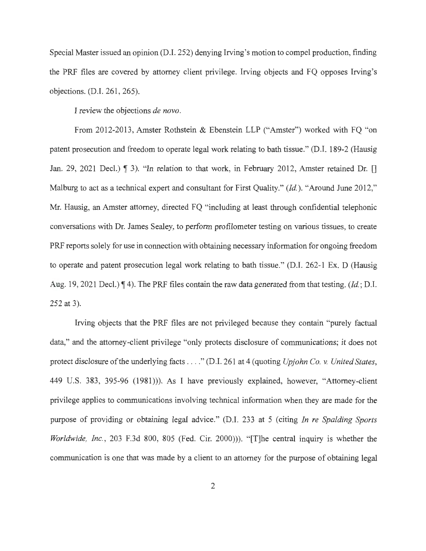Special Master issued an opinion (D.I. 252) denying Irving's motion to compel production, finding the PRF files are covered by attorney client privilege. Irving objects and FQ opposes Irving's objections. (D.I. 261, 265).

I review the objections *de novo.* 

From 2012-2013, Amster Rothstein & Ebenstein LLP ("Amster") worked with FQ "on patent prosecution and freedom to operate legal work relating to bath tissue." (D.I. 189-2 (Hausig Jan. 29, 2021 Decl.)  $\parallel$  3). "In relation to that work, in February 2012, Amster retained Dr.  $\parallel$ Malburg to act as a technical expert and consultant for First Quality." *(Id.)*. "Around June 2012," Mr. Hausig, an Amster attorney, directed FQ "including at least through confidential telephonic conversations with Dr. James Sealey, to perform profilometer testing on various tissues, to create PRF reports solely for use in connection with obtaining necessary information for ongoing freedom to operate and patent prosecution legal work relating to bath tissue." (D.I. 262-1 Ex. D (Hausig Aug. 19, 2021 Decl.)  $\P$  4). The PRF files contain the raw data generated from that testing. *(Id.*; D.I. 252 at 3).

Irving objects that the PRF files are not privileged because they contain "purely factual data," and the attorney-client privilege "only protects disclosure of communications; it does not protect disclosure of the underlying facts .... " (D.I. 261 at 4 (quoting *Upjohn Co.* v. *United States,*  449 U.S. 383, 395-96 (1981))). As I have previously explained, however, "Attorney-client privilege applies to communications involving technical information when they are made for the purpose of providing or obtaining legal advice." (D.I. 233 at 5 (citing *In re Spalding Sports Worldwide, Inc.,* 203 F.3d 800, 805 (Fed. Cir. 2000))). " [T]he central inquiry is whether the communication is one that was made by a client to an attorney for the purpose of obtaining legal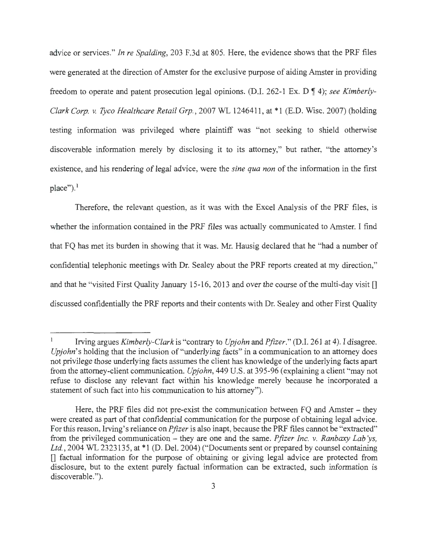advice or services." *In re Spalding,* 203 F.3d at 805. Here, the evidence shows that the PRF files were generated at the direction of Amster for the exclusive purpose of aiding Amster in providing freedom to operate and patent prosecution legal opinions. (D.I. 262-1 Ex. D **14);** *see Kimberly-Clark Corp. v. Tyco Healthcare Retail Grp.,* 2007 WL 1246411, at \* 1 (E.D. Wisc. 2007) (holding testing information was privileged where plaintiff was "not seeking to shield otherwise discoverable information merely by disclosing it to its attorney," but rather, ''the attorney's existence, and his rendering of legal advice, were the *sine qua non* of the information in the first place").<sup>1</sup>

Therefore, the relevant question, as it was with the Excel Analysis of the PRF files, is whether the information contained in the PRF files was actually communicated to Amster. I find that FQ has met its burden in showing that it was. Mr. Hausig declared that he "had a number of confidential telephonic meetings with Dr. Sealey about the PRF reports created at my direction," and that he "visited First Quality January 15-16, 2013 and over the course of the multi-day visit [] discussed confidentially the PRF reports and their contents with Dr. Sealey and other First Quality

<sup>1</sup> Irving argues *Kimberly-Clark* is "contrary to *Upjohn* and *Pfizer."* (D.I. 261 at 4). I disagree. *Upjohn's* holding that the inclusion of "underlying facts" in a communication to an attorney does not privilege those underlying facts assumes the client has knowledge of the underlying facts apart from the attorney-client communication. *Upjohn,* 449 U.S. at 395-96 (explaining a client "may not refuse to disclose any relevant fact within his knowledge merely because he incorporated a statement of such fact into his communication to his attorney").

Here, the PRF files did not pre-exist the communication between  $FQ$  and Amster – they were created as part of that confidential communication for the purpose of obtaining legal advice. For this reason, Irving's reliance on *Pfizer* is also inapt, because the PRF files cannot be "extracted" from the privileged communication – they are one and the same. *Pfizer Inc. v. Ranbaxy Lab'ys*, Ltd., 2004 WL 2323135, at \*1 (D. Del. 2004) ("Documents sent or prepared by counsel containing  $\Box$  factual information for the purpose of obtaining or giving legal advice are protected from disclosure, but to the extent purely factual information can be extracted, such information is discoverable.").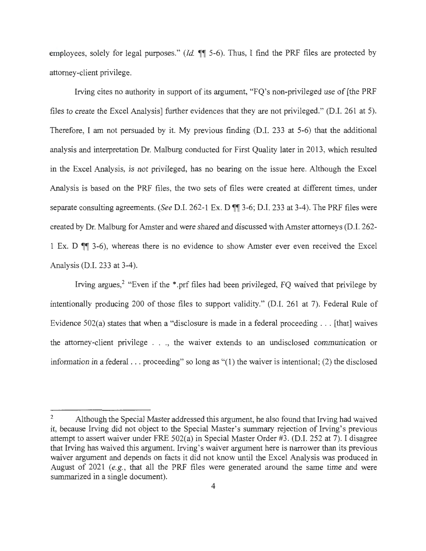employees, solely for legal purposes." *(Id.*  $\P\P$  5-6). Thus, I find the PRF files are protected by attorney-client privilege.

Irving cites no authority in support of its argument, "FQ's non-privileged use of [the PRF files to create the Excel Analysis] further evidences that they are not privileged." (D.I. 261 at 5). Therefore, I am not persuaded by it. My previous finding (D.I. 233 at 5-6) that the additional analysis and interpretation Dr. Malburg conducted for First Quality later in 2013, which resulted in the Excel Analysis, is not privileged, has no bearing on the issue here. Although the Excel Analysis is based on the PRF files, the two sets of files were created at different times, under separate consulting agreements. *(See D.I. 262-1 Ex. D*  $\mathbb{I}$  3-6; D.I. 233 at 3-4). The PRF files were created by Dr. Malburg for Amster and were shared and discussed with Amster attorneys (D.I. 262- 1 Ex. D  $\mathbb{M}$  3-6), whereas there is no evidence to show Amster ever even received the Excel Analysis (D.I. 233 at 3-4).

Irving argues,<sup>2</sup> "Even if the \*.prf files had been privileged, FQ waived that privilege by intentionally producing 200 of those files to support validity." (D.I. 261 at 7). Federal Rule of Evidence 502(a) states that when a "disclosure is made in a federal proceeding . .. [that] waives the attorney-client privilege ... , the waiver extends to an undisclosed communication or information in a federal . . . proceeding" so long as "(1) the waiver is intentional; (2) the disclosed

<sup>&</sup>lt;sup>2</sup> Although the Special Master addressed this argument, he also found that Irving had waived it, because Irving did not object to the Special Master's summary rejection of Irving's previous attempt to assert waiver under FRE 502(a) in Special Master Order #3. (D.I. 252 at 7). I disagree that Irving has waived this argument. Irving's waiver argument here is narrower than its previous waiver argument and depends on facts it did not know until the Excel Analysis was produced in August of 2021 (e.g., that all the PRF files were generated around the same time and were summarized in a single document).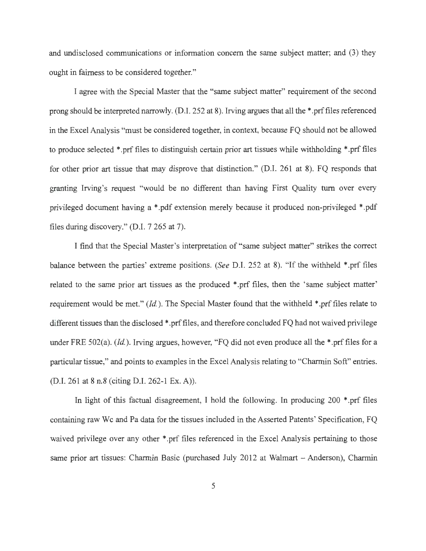and undisclosed communications or information concern the same subject matter; and (3) they ought in fairness to be considered together."

I agree with the Special Master that the "same subject matter" requirement of the second prong should be interpreted narrowly. (D.I. 252 at 8). Irving argues that all the\* .prf files referenced in the Excel Analysis "must be considered together, in context, because FQ should not be allowed to produce selected \* .prf files to distinguish certain prior art tissues while withholding \* .prf files for other prior art tissue that may disprove that distinction." (D.I. 261 at 8). FQ responds that granting Irving's request "would be no different than having First Quality tum over every privileged document having a \* .pdf extension merely because it produced non-privileged \* .pdf files during discovery." (D.I. 7 265 at 7).

I find that the Special Master's interpretation of " same subject matter" strikes the correct balance between the parties' extreme positions. *(See* D.I. 252 at 8). "If the withheld \* .prf files related to the same prior art tissues as the produced \* .prf files, then the 'same subject matter' requirement would be met." *(Id.).* The Special Master found that the withheld \* .prf files relate to different tissues than the disclosed \*.prf files, and therefore concluded FQ had not waived privilege under FRE 502(a). *(Id.)*. Irving argues, however, "FQ did not even produce all the \*.prf files for a particular tissue," and points to examples in the Excel Analysis relating to "Charmin Soft" entries. (D.I. 261 at 8 n.8 (citing D.I. 262-1 Ex. A)).

In light of this factual disagreement, I hold the following. In producing 200 \*.prf files containing raw We and Pa data for the tissues included in the Asserted Patents' Specification, FQ waived privilege over any other \* prf files referenced in the Excel Analysis pertaining to those same prior art tissues: Charmin Basic (purchased July 2012 at Walmart - Anderson), Charmin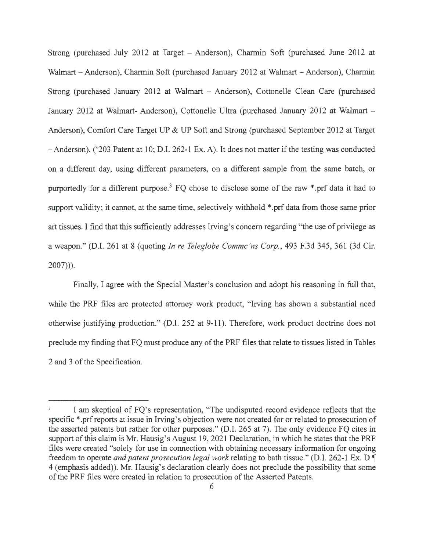Strong (purchased July 2012 at Target - Anderson), Charmin Soft (purchased June 2012 at Walmart - Anderson), Charmin Soft (purchased January 2012 at Walmart - Anderson), Charmin Strong (purchased January 2012 at Walmart - Anderson), Cottonelle Clean Care (purchased January 2012 at Walmart- Anderson), Cottonelle Ultra (purchased January 2012 at Walmart - Anderson), Comfort Care Target UP & UP Soft and Strong (purchased September 2012 at Target -Anderson). ('203 Patent at 10; D.I. 262-1 Ex. A). It does not matter if the testing was conducted on a different day, using different parameters, on a different sample from the same batch, or purportedly for a different purpose.<sup>3</sup> FQ chose to disclose some of the raw \*.prf data it had to support validity; it cannot, at the same time, selectively withhold \* .prf data from those same prior art tissues. I find that this sufficiently addresses Irving's concern regarding "the use of privilege as a weapon." (D.1. 261 at 8 (quoting *In re Teleglobe Commc 'ns Corp.,* 493 F.3d 345, 361 (3d Cir. 2007))).

Finally, I agree with the Special Master's conclusion and adopt his reasoning in full that, while the PRF files are protected attorney work product, "Irving has shown a substantial need otherwise justifying production." (D.I. 252 at 9-11). Therefore, work product doctrine does not preclude my finding that FQ must produce any of the PRF files that relate to tissues listed in Tables 2 and 3 of the Specification.

I am skeptical of FQ's representation, "The undisputed record evidence reflects that the specific \*.prf reports at issue in Irving's objection were not created for or related to prosecution of the asserted patents but rather for other purposes." (D.I. 265 at 7). The only evidence FQ cites in support of this claim is Mr. Hausig's August 19, 2021 Declaration, in which he states that the PRF files were created "solely for use in connection with obtaining necessary information for ongoing freedom to operate *and patent prosecution legal work* relating to bath tissue." (D.I. 262-1 Ex. D  $\P$ 4 (emphasis added)). Mr. Hausig's declaration clearly does not preclude the possibility that some of the PRF files were created in relation to prosecution of the Asserted Patents.